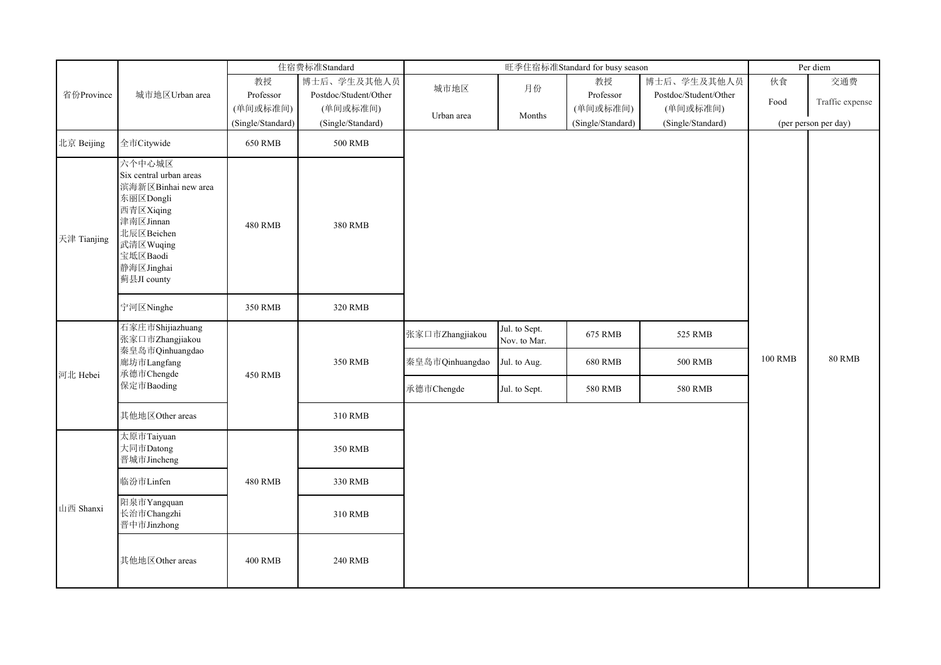|             |                                                                                                                                                                     |                   | 住宿费标准Standard         |                                    |                                               | 旺季住宿标准Standard for busy season |                           |                | Per diem             |
|-------------|---------------------------------------------------------------------------------------------------------------------------------------------------------------------|-------------------|-----------------------|------------------------------------|-----------------------------------------------|--------------------------------|---------------------------|----------------|----------------------|
|             |                                                                                                                                                                     | 教授                | 博士后、学生及其他人员           | 城市地区                               | 月份                                            | 教授                             | 博士后、学生及其他人员               | 伙食             | 交通费                  |
| 省份Province  | 城市地区Urban area                                                                                                                                                      | Professor         | Postdoc/Student/Other |                                    |                                               | Professor                      | Postdoc/Student/Other     | Food           | Traffic expense      |
|             |                                                                                                                                                                     | (单间或标准间)          | (单间或标准间)              | Urban area                         | Months                                        | (单间或标准间)                       | (单间或标准间)                  |                |                      |
|             |                                                                                                                                                                     | (Single/Standard) | (Single/Standard)     |                                    |                                               | (Single/Standard)              | (Single/Standard)         |                | (per person per day) |
| 北京 Beijing  | 全市Citywide                                                                                                                                                          | <b>650 RMB</b>    | <b>500 RMB</b>        |                                    |                                               |                                |                           |                |                      |
| 天津 Tianjing | 六个中心城区<br>Six central urban areas<br>滨海新区Binhai new area<br>东丽区Dongli<br>西青区Xiqing<br>津南区Jinnan<br>北辰区Beichen<br>武清区Wuqing<br>宝坻区Baodi<br>静海区Jinghai<br>蓟县JI county | <b>480 RMB</b>    | <b>380 RMB</b>        |                                    |                                               |                                |                           |                |                      |
|             | 宁河区Ninghe                                                                                                                                                           | 350 RMB           | 320 RMB               |                                    |                                               |                                |                           |                |                      |
|             | 石家庄市Shijiazhuang<br>张家口市Zhangjiakou<br>秦皇岛市Qinhuangdao<br>廊坊市Langfang                                                                                               |                   | 350 RMB               | 张家口市Zhangjiakou<br>秦皇岛市Qinhuangdao | Jul. to Sept.<br>Nov. to Mar.<br>Jul. to Aug. | 675 RMB<br><b>680 RMB</b>      | 525 RMB<br><b>500 RMB</b> | <b>100 RMB</b> | <b>80 RMB</b>        |
| 河北 Hebei    | 承德市Chengde                                                                                                                                                          | <b>450 RMB</b>    |                       |                                    |                                               |                                |                           |                |                      |
|             | 保定市Baoding                                                                                                                                                          |                   |                       | 承德市Chengde                         | Jul. to Sept.                                 | <b>580 RMB</b>                 | <b>580 RMB</b>            |                |                      |
|             | 其他地区Other areas                                                                                                                                                     |                   | 310 RMB               |                                    |                                               |                                |                           |                |                      |
|             | 太原市Taiyuan<br>大同市Datong<br>晋城市Jincheng                                                                                                                              |                   | 350 RMB               |                                    |                                               |                                |                           |                |                      |
|             | 临汾市Linfen                                                                                                                                                           | <b>480 RMB</b>    | 330 RMB               |                                    |                                               |                                |                           |                |                      |
| 山西 Shanxi   | 阳泉市Yangquan<br>长治市Changzhi<br>晋中市Jinzhong                                                                                                                           |                   | 310 RMB               |                                    |                                               |                                |                           |                |                      |
|             | 其他地区Other areas                                                                                                                                                     | <b>400 RMB</b>    | <b>240 RMB</b>        |                                    |                                               |                                |                           |                |                      |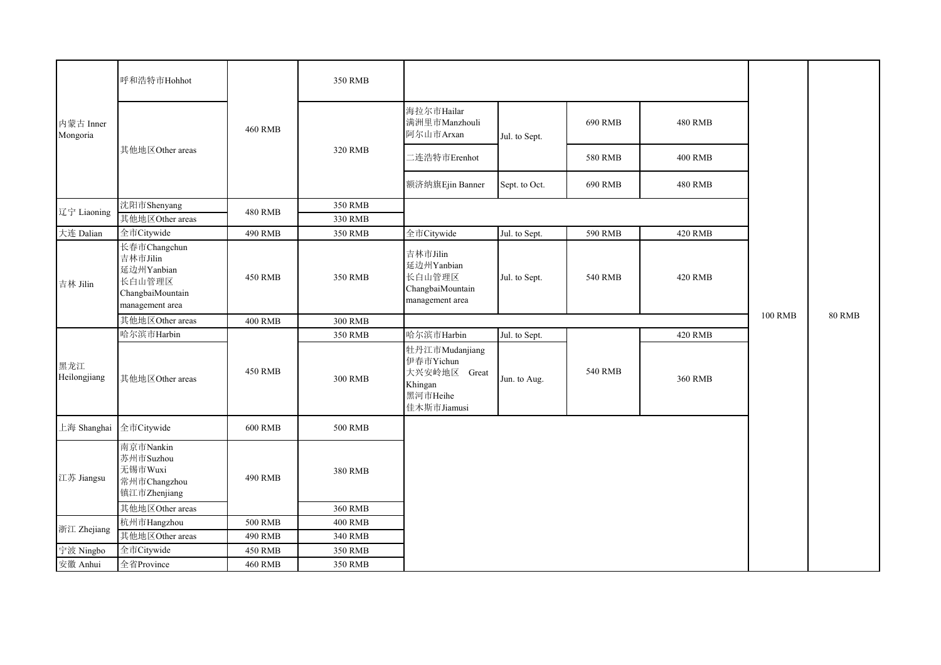|                       | 呼和浩特市Hohhot                                                                             |                | 350 RMB        |                                                                                   |               |                |                |                |               |
|-----------------------|-----------------------------------------------------------------------------------------|----------------|----------------|-----------------------------------------------------------------------------------|---------------|----------------|----------------|----------------|---------------|
| 内蒙古 Inner<br>Mongoria |                                                                                         | <b>460 RMB</b> |                | 海拉尔市Hailar<br>满洲里市Manzhouli<br>阿尔山市Arxan                                          | Jul. to Sept. | 690 RMB        | <b>480 RMB</b> |                |               |
|                       | 其他地区Other areas                                                                         |                | 320 RMB        | 二连浩特市Erenhot                                                                      |               | <b>580 RMB</b> | <b>400 RMB</b> |                |               |
|                       |                                                                                         |                |                | 额济纳旗Ejin Banner                                                                   | Sept. to Oct. | 690 RMB        | <b>480 RMB</b> |                |               |
|                       | 沈阳市Shenyang                                                                             |                | 350 RMB        |                                                                                   |               |                |                |                |               |
| 辽宁 Liaoning           | 其他地区Other areas                                                                         | <b>480 RMB</b> | 330 RMB        |                                                                                   |               |                |                |                |               |
| 大连 Dalian             | 全市Citywide                                                                              | 490 RMB        | 350 RMB        | 全市Citywide                                                                        | Jul. to Sept. | 590 RMB        | <b>420 RMB</b> |                |               |
| 吉林 Jilin              | 长春市Changchun<br>吉林市Jilin<br>延边州Yanbian<br>长白山管理区<br>ChangbaiMountain<br>management area | <b>450 RMB</b> | 350 RMB        | 吉林市Jilin<br>延边州Yanbian<br>长白山管理区<br>ChangbaiMountain<br>management area           | Jul. to Sept. | <b>540 RMB</b> | <b>420 RMB</b> |                |               |
|                       | 其他地区Other areas                                                                         | <b>400 RMB</b> | <b>300 RMB</b> |                                                                                   |               |                |                | <b>100 RMB</b> | <b>80 RMB</b> |
|                       | 哈尔滨市Harbin                                                                              |                | 350 RMB        | 哈尔滨市Harbin                                                                        | Jul. to Sept. |                | <b>420 RMB</b> |                |               |
| 黑龙江<br>Heilongjiang   | 其他地区Other areas                                                                         | <b>450 RMB</b> | 300 RMB        | 牡丹江市Mudanjiang<br>伊春市Yichun<br>大兴安岭地区 Great<br>Khingan<br>黑河市Heihe<br>佳木斯市Jiamusi | Jun. to Aug.  | <b>540 RMB</b> | 360 RMB        |                |               |
| 上海 Shanghai           | 全市Citywide                                                                              | <b>600 RMB</b> | <b>500 RMB</b> |                                                                                   |               |                |                |                |               |
| 江苏 Jiangsu            | 南京市Nankin<br>苏州市Suzhou<br>无锡市Wuxi<br>常州市Changzhou<br>镇江市Zhenjiang                       | 490 RMB        | <b>380 RMB</b> |                                                                                   |               |                |                |                |               |
|                       | 其他地区Other areas                                                                         |                | 360 RMB        |                                                                                   |               |                |                |                |               |
|                       | 杭州市Hangzhou                                                                             | <b>500 RMB</b> | <b>400 RMB</b> |                                                                                   |               |                |                |                |               |
| 浙江 Zhejiang           | 其他地区Other areas                                                                         | 490 RMB        | 340 RMB        |                                                                                   |               |                |                |                |               |
| 宁波 Ningbo             | 全市Citywide                                                                              | <b>450 RMB</b> | 350 RMB        |                                                                                   |               |                |                |                |               |
| 安徽 Anhui              | 全省Province                                                                              | <b>460 RMB</b> | 350 RMB        |                                                                                   |               |                |                |                |               |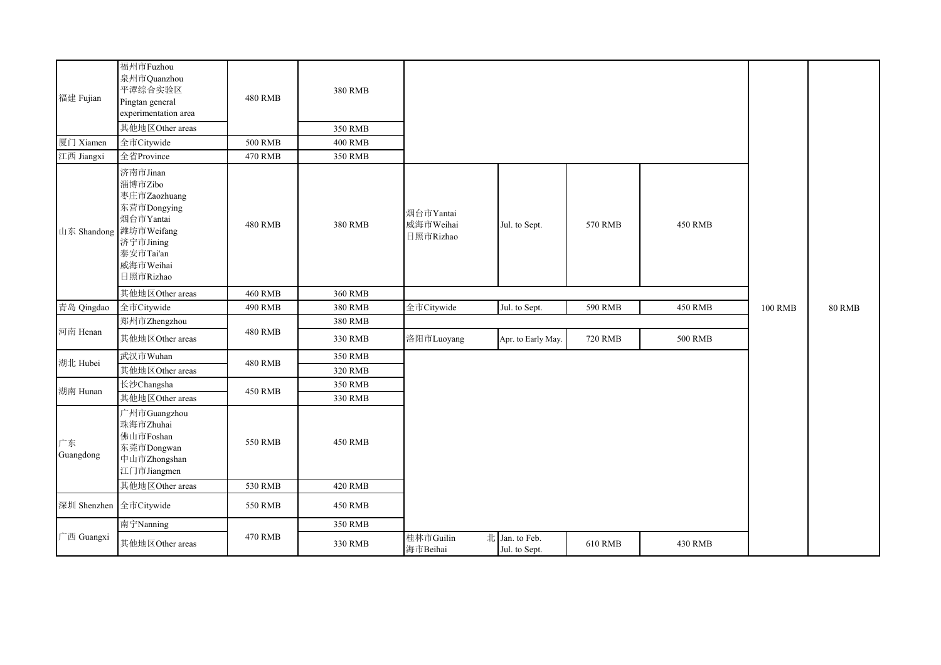| 福建 Fujian              | 福州市Fuzhou<br>泉州市Quanzhou<br>平潭综合实验区<br>Pingtan general<br>experimentation area<br>其他地区Other areas                                 | <b>480 RMB</b> | <b>380 RMB</b><br>350 RMB |                                     |                                 |                |                |                |               |
|------------------------|-----------------------------------------------------------------------------------------------------------------------------------|----------------|---------------------------|-------------------------------------|---------------------------------|----------------|----------------|----------------|---------------|
| 厦门 Xiamen              | 全市Citywide                                                                                                                        | <b>500 RMB</b> | <b>400 RMB</b>            |                                     |                                 |                |                |                |               |
| 江西 Jiangxi             | 全省Province                                                                                                                        | <b>470 RMB</b> | 350 RMB                   |                                     |                                 |                |                |                |               |
| 山东 Shandong            | 济南市Jinan<br>淄博市Zibo<br>枣庄市Zaozhuang<br>东营市Dongying<br>烟台市Yantai<br>潍坊市Weifang<br>济宁市Jining<br>泰安市Tai'an<br>威海市Weihai<br>日照市Rizhao | <b>480 RMB</b> | 380 RMB                   | 烟台市Yantai<br>威海市Weihai<br>日照市Rizhao | Jul. to Sept.                   | 570 RMB        | <b>450 RMB</b> |                |               |
|                        | 其他地区Other areas                                                                                                                   | <b>460 RMB</b> | 360 RMB                   |                                     |                                 |                |                |                |               |
| 青岛 Qingdao             | 全市Citywide                                                                                                                        | <b>490 RMB</b> | 380 RMB                   | 全市Citywide                          | Jul. to Sept.                   | 590 RMB        | <b>450 RMB</b> | <b>100 RMB</b> | <b>80 RMB</b> |
|                        | 郑州市Zhengzhou                                                                                                                      |                | 380 RMB                   |                                     |                                 |                |                |                |               |
| 河南 Henan               | 其他地区Other areas                                                                                                                   | <b>480 RMB</b> | 330 RMB                   | 洛阳市Luoyang                          | Apr. to Early May.              | <b>720 RMB</b> | <b>500 RMB</b> |                |               |
|                        | 武汉市Wuhan                                                                                                                          |                | 350 RMB                   |                                     |                                 |                |                |                |               |
| 湖北 Hubei               | 其他地区Other areas                                                                                                                   | <b>480 RMB</b> | 320 RMB                   |                                     |                                 |                |                |                |               |
| 湖南 Hunan               | 长沙Changsha                                                                                                                        |                | 350 RMB                   |                                     |                                 |                |                |                |               |
|                        | 其他地区Other areas                                                                                                                   | 450 RMB        | 330 RMB                   |                                     |                                 |                |                |                |               |
| 广东<br>Guangdong        | 广州市Guangzhou<br>珠海市Zhuhai<br>佛山市Foshan<br>东莞市Dongwan<br>中山市Zhongshan<br>江门市Jiangmen                                               | 550 RMB        | <b>450 RMB</b>            |                                     |                                 |                |                |                |               |
|                        | 其他地区Other areas                                                                                                                   | 530 RMB        | <b>420 RMB</b>            |                                     |                                 |                |                |                |               |
| 深圳 Shenzhen 全市Citywide |                                                                                                                                   | 550 RMB        | <b>450 RMB</b>            |                                     |                                 |                |                |                |               |
|                        | 南宁Nanning                                                                                                                         |                | 350 RMB                   |                                     |                                 |                |                |                |               |
| 广西 Guangxi             | 其他地区Other areas                                                                                                                   | 470 RMB        | 330 RMB                   | 桂林市Guilin<br>海市Beihai               | 北 Jan. to Feb.<br>Jul. to Sept. | <b>610 RMB</b> | 430 RMB        |                |               |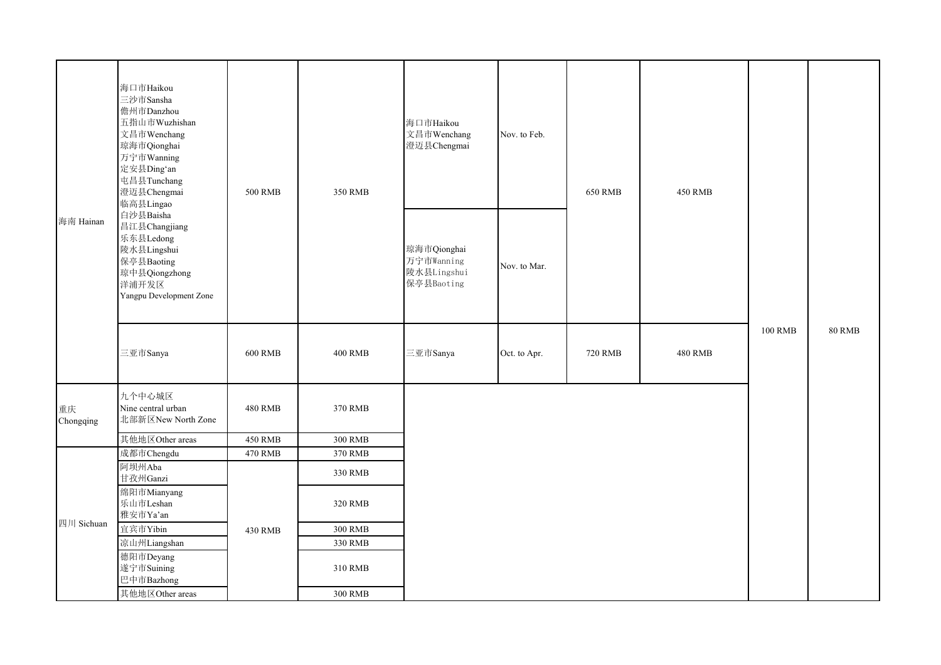|                 | 海口市Haikou<br>三沙市Sansha<br>儋州市Danzhou<br>五指山市Wuzhishan<br>文昌市Wenchang<br>琼海市Qionghai<br>万宁市Wanning<br>定安县Ding'an<br>屯昌县Tunchang<br>澄迈县Chengmai<br>临高县Lingao | <b>500 RMB</b> | 350 RMB        | 海口市Haikou<br>文昌市Wenchang<br>澄迈县Chengmai                | Nov. to Feb. | <b>650 RMB</b> | <b>450 RMB</b> |                |               |
|-----------------|------------------------------------------------------------------------------------------------------------------------------------------------------------|----------------|----------------|--------------------------------------------------------|--------------|----------------|----------------|----------------|---------------|
| 海南 Hainan       | 白沙县Baisha<br>昌江县Changjiang<br>乐东县Ledong<br>陵水县Lingshui<br>保亭县Baoting<br>琼中县Qiongzhong<br>洋浦开发区<br>Yangpu Development Zone                                  |                |                | 琼海市Qionghai<br>万宁市Wanning<br>陵水县Lingshui<br>保亭县Baoting | Nov. to Mar. |                |                |                |               |
|                 | 三亚市Sanya                                                                                                                                                   | <b>600 RMB</b> | <b>400 RMB</b> | 三亚市Sanya                                               | Oct. to Apr. | <b>720 RMB</b> | <b>480 RMB</b> | <b>100 RMB</b> | <b>80 RMB</b> |
| 重庆<br>Chongqing | 九个中心城区<br>Nine central urban<br>北部新区New North Zone                                                                                                         | <b>480 RMB</b> | 370 RMB        |                                                        |              |                |                |                |               |
|                 | 其他地区Other areas                                                                                                                                            | <b>450 RMB</b> | <b>300 RMB</b> |                                                        |              |                |                |                |               |
|                 | 成都市Chengdu                                                                                                                                                 | <b>470 RMB</b> | 370 RMB        |                                                        |              |                |                |                |               |
|                 | 阿坝州Aba<br>甘孜州Ganzi                                                                                                                                         |                | 330 RMB        |                                                        |              |                |                |                |               |
|                 | 绵阳市Mianyang<br>乐山市Leshan<br>雅安市Ya'an                                                                                                                       |                | 320 RMB        |                                                        |              |                |                |                |               |
| 四川 Sichuan      | 宜宾市Yibin                                                                                                                                                   | 430 RMB        | <b>300 RMB</b> |                                                        |              |                |                |                |               |
|                 | 凉山州Liangshan                                                                                                                                               |                | 330 RMB        |                                                        |              |                |                |                |               |
|                 | 德阳市Deyang<br>遂宁市Suining<br>巴中市Bazhong                                                                                                                      |                | 310 RMB        |                                                        |              |                |                |                |               |
|                 | 其他地区Other areas                                                                                                                                            |                | <b>300 RMB</b> |                                                        |              |                |                |                |               |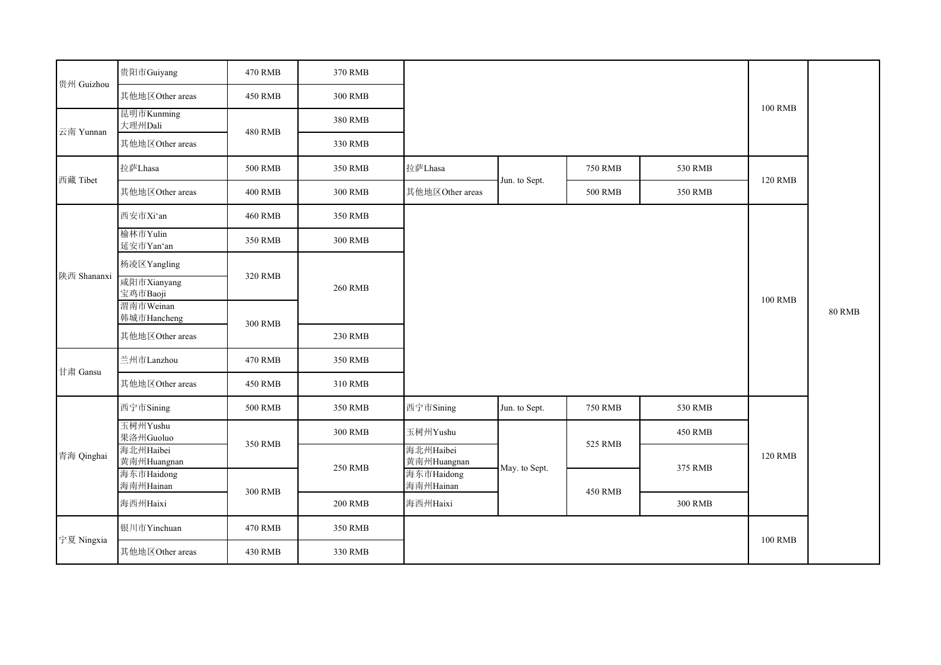|             | 贵阳市Guiyang               | 470 RMB        | 370 RMB        |                          |               |                |                |                |               |
|-------------|--------------------------|----------------|----------------|--------------------------|---------------|----------------|----------------|----------------|---------------|
| 贵州 Guizhou  | 其他地区Other areas          | <b>450 RMB</b> | <b>300 RMB</b> |                          |               |                |                |                |               |
| 云南 Yunnan   | 昆明市Kunming<br>大理州Dali    | <b>480 RMB</b> | 380 RMB        |                          |               |                |                | <b>100 RMB</b> |               |
|             | 其他地区Other areas          |                | 330 RMB        |                          |               |                |                |                |               |
| 西藏 Tibet    | 拉萨Lhasa                  | <b>500 RMB</b> | 350 RMB        | 拉萨Lhasa                  | Jun. to Sept. | <b>750 RMB</b> | 530 RMB        | <b>120 RMB</b> |               |
|             | 其他地区Other areas          | <b>400 RMB</b> | <b>300 RMB</b> | 其他地区Other areas          |               | <b>500 RMB</b> | 350 RMB        |                |               |
|             | 西安市Xi'an                 | <b>460 RMB</b> | 350 RMB        |                          |               |                |                |                |               |
|             | 榆林市Yulin<br>延安市Yan'an    | 350 RMB        | <b>300 RMB</b> |                          |               |                |                |                |               |
|             | 杨凌区Yangling              |                |                |                          |               |                |                |                |               |
| 陕西 Shananxi | 咸阳市Xianyang<br>宝鸡市Baoji  | 320 RMB        | <b>260 RMB</b> |                          |               |                |                |                |               |
|             | 渭南市Weinan<br>韩城市Hancheng | <b>300 RMB</b> |                |                          |               |                |                | <b>100 RMB</b> | <b>80 RMB</b> |
|             | 其他地区Other areas          |                | 230 RMB        |                          |               |                |                |                |               |
| 甘肃 Gansu    | 兰州市Lanzhou               | <b>470 RMB</b> | 350 RMB        |                          |               |                |                |                |               |
|             | 其他地区Other areas          | <b>450 RMB</b> | 310 RMB        |                          |               |                |                |                |               |
|             | 西宁市Sining                | <b>500 RMB</b> | 350 RMB        | 西宁市Sining                | Jun. to Sept. | <b>750 RMB</b> | 530 RMB        |                |               |
|             | 玉树州Yushu<br>果洛州Guoluo    | 350 RMB        | <b>300 RMB</b> | 玉树州Yushu                 |               | 525 RMB        | <b>450 RMB</b> |                |               |
| 青海 Qinghai  | 海北州Haibei<br>黄南州Huangnan |                | <b>250 RMB</b> | 海北州Haibei<br>黄南州Huangnan | May. to Sept. |                | 375 RMB        | <b>120 RMB</b> |               |
|             | 海东市Haidong<br>海南州Hainan  | <b>300 RMB</b> |                | 海东市Haidong<br>海南州Hainan  |               | <b>450 RMB</b> |                |                |               |
|             | 海西州Haixi                 |                | <b>200 RMB</b> | 海西州Haixi                 |               |                | <b>300 RMB</b> |                |               |
| 宁夏 Ningxia  | 银川市Yinchuan              | <b>470 RMB</b> | 350 RMB        |                          |               |                |                | <b>100 RMB</b> |               |
|             | 其他地区Other areas          | 430 RMB        | 330 RMB        |                          |               |                |                |                |               |